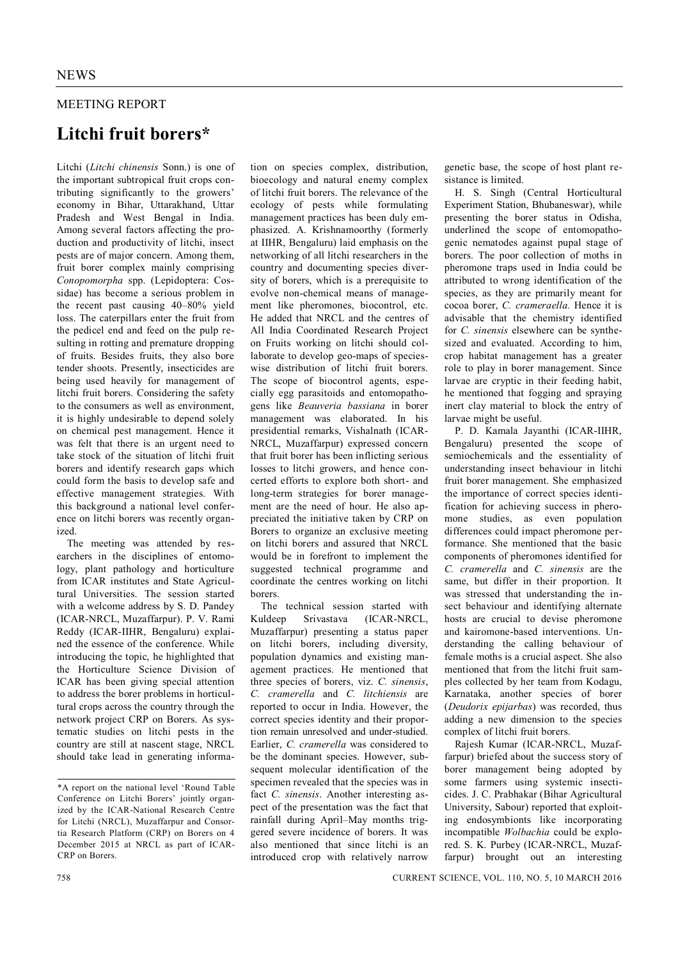## MEETING REPORT

## **Litchi fruit borers\***

Litchi (*Litchi chinensis* Sonn.) is one of the important subtropical fruit crops contributing significantly to the growers' economy in Bihar, Uttarakhand, Uttar Pradesh and West Bengal in India. Among several factors affecting the production and productivity of litchi, insect pests are of major concern. Among them, fruit borer complex mainly comprising *Conopomorpha* spp. (Lepidoptera: Cossidae) has become a serious problem in the recent past causing 40–80% yield loss. The caterpillars enter the fruit from the pedicel end and feed on the pulp resulting in rotting and premature dropping of fruits. Besides fruits, they also bore tender shoots. Presently, insecticides are being used heavily for management of litchi fruit borers. Considering the safety to the consumers as well as environment, it is highly undesirable to depend solely on chemical pest management. Hence it was felt that there is an urgent need to take stock of the situation of litchi fruit borers and identify research gaps which could form the basis to develop safe and effective management strategies. With this background a national level conference on litchi borers was recently organized.

The meeting was attended by researchers in the disciplines of entomology, plant pathology and horticulture from ICAR institutes and State Agricultural Universities. The session started with a welcome address by S. D. Pandey (ICAR-NRCL, Muzaffarpur). P. V. Rami Reddy (ICAR-IIHR, Bengaluru) explained the essence of the conference. While introducing the topic, he highlighted that the Horticulture Science Division of ICAR has been giving special attention to address the borer problems in horticultural crops across the country through the network project CRP on Borers. As systematic studies on litchi pests in the country are still at nascent stage, NRCL should take lead in generating informa-

tion on species complex, distribution, bioecology and natural enemy complex of litchi fruit borers. The relevance of the ecology of pests while formulating management practices has been duly emphasized. A. Krishnamoorthy (formerly at IIHR, Bengaluru) laid emphasis on the networking of all litchi researchers in the country and documenting species diversity of borers, which is a prerequisite to evolve non-chemical means of management like pheromones, biocontrol, etc. He added that NRCL and the centres of All India Coordinated Research Project on Fruits working on litchi should collaborate to develop geo-maps of specieswise distribution of litchi fruit borers. The scope of biocontrol agents, especially egg parasitoids and entomopathogens like *Beauveria bassiana* in borer management was elaborated. In his presidential remarks, Vishalnath (ICAR-NRCL, Muzaffarpur) expressed concern that fruit borer has been inflicting serious losses to litchi growers, and hence concerted efforts to explore both short- and long-term strategies for borer management are the need of hour. He also appreciated the initiative taken by CRP on Borers to organize an exclusive meeting on litchi borers and assured that NRCL would be in forefront to implement the suggested technical programme and coordinate the centres working on litchi borers.

The technical session started with Kuldeep Srivastava (ICAR-NRCL, Muzaffarpur) presenting a status paper on litchi borers, including diversity, population dynamics and existing management practices. He mentioned that three species of borers, viz. *C. sinensis*, *C. cramerella* and *C. litchiensis* are reported to occur in India. However, the correct species identity and their proportion remain unresolved and under-studied. Earlier, *C. cramerella* was considered to be the dominant species. However, subsequent molecular identification of the specimen revealed that the species was in fact *C. sinensis*. Another interesting aspect of the presentation was the fact that rainfall during April–May months triggered severe incidence of borers. It was also mentioned that since litchi is an introduced crop with relatively narrow genetic base, the scope of host plant resistance is limited.

H. S. Singh (Central Horticultural Experiment Station, Bhubaneswar), while presenting the borer status in Odisha, underlined the scope of entomopathogenic nematodes against pupal stage of borers. The poor collection of moths in pheromone traps used in India could be attributed to wrong identification of the species, as they are primarily meant for cocoa borer, *C. crameraella.* Hence it is advisable that the chemistry identified for *C. sinensis* elsewhere can be synthesized and evaluated. According to him, crop habitat management has a greater role to play in borer management. Since larvae are cryptic in their feeding habit, he mentioned that fogging and spraying inert clay material to block the entry of larvae might be useful.

P. D. Kamala Jayanthi (ICAR-IIHR, Bengaluru) presented the scope of semiochemicals and the essentiality of understanding insect behaviour in litchi fruit borer management. She emphasized the importance of correct species identification for achieving success in pheromone studies, as even population differences could impact pheromone performance. She mentioned that the basic components of pheromones identified for *C. cramerella* and *C. sinensis* are the same, but differ in their proportion. It was stressed that understanding the insect behaviour and identifying alternate hosts are crucial to devise pheromone and kairomone-based interventions. Understanding the calling behaviour of female moths is a crucial aspect. She also mentioned that from the litchi fruit samples collected by her team from Kodagu, Karnataka, another species of borer (*Deudorix epijarbas*) was recorded, thus adding a new dimension to the species complex of litchi fruit borers.

Rajesh Kumar (ICAR-NRCL, Muzaffarpur) briefed about the success story of borer management being adopted by some farmers using systemic insecticides. J. C. Prabhakar (Bihar Agricultural University, Sabour) reported that exploiting endosymbionts like incorporating incompatible *Wolbachia* could be explored. S. K. Purbey (ICAR-NRCL, Muzaffarpur) brought out an interesting

<sup>\*</sup>A report on the national level 'Round Table Conference on Litchi Borers' jointly organized by the ICAR-National Research Centre for Litchi (NRCL), Muzaffarpur and Consortia Research Platform (CRP) on Borers on 4 December 2015 at NRCL as part of ICAR-CRP on Borers.